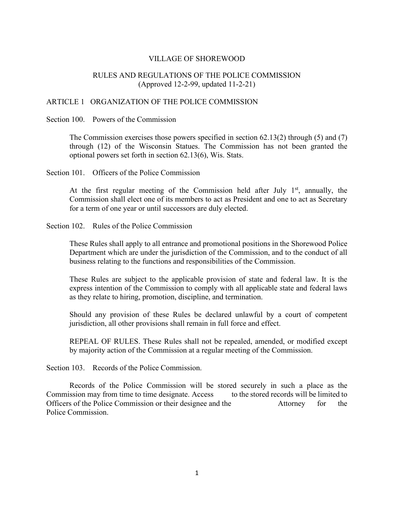### VILLAGE OF SHOREWOOD

## RULES AND REGULATIONS OF THE POLICE COMMISSION (Approved 12-2-99, updated 11-2-21)

#### ARTICLE 1 ORGANIZATION OF THE POLICE COMMISSION

#### Section 100. Powers of the Commission

The Commission exercises those powers specified in section 62.13(2) through (5) and (7) through (12) of the Wisconsin Statues. The Commission has not been granted the optional powers set forth in section 62.13(6), Wis. Stats.

Section 101. Officers of the Police Commission

At the first regular meeting of the Commission held after July  $1<sup>st</sup>$ , annually, the Commission shall elect one of its members to act as President and one to act as Secretary for a term of one year or until successors are duly elected.

Section 102. Rules of the Police Commission

These Rules shall apply to all entrance and promotional positions in the Shorewood Police Department which are under the jurisdiction of the Commission, and to the conduct of all business relating to the functions and responsibilities of the Commission.

These Rules are subject to the applicable provision of state and federal law. It is the express intention of the Commission to comply with all applicable state and federal laws as they relate to hiring, promotion, discipline, and termination.

Should any provision of these Rules be declared unlawful by a court of competent jurisdiction, all other provisions shall remain in full force and effect.

REPEAL OF RULES. These Rules shall not be repealed, amended, or modified except by majority action of the Commission at a regular meeting of the Commission.

Section 103. Records of the Police Commission.

Records of the Police Commission will be stored securely in such a place as the Commission may from time to time designate. Access to the stored records will be limited to Officers of the Police Commission or their designee and the Attorney for the Police Commission.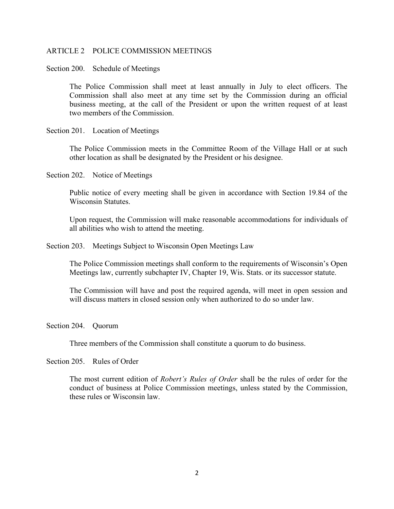#### ARTICLE 2 POLICE COMMISSION MEETINGS

Section 200. Schedule of Meetings

The Police Commission shall meet at least annually in July to elect officers. The Commission shall also meet at any time set by the Commission during an official business meeting, at the call of the President or upon the written request of at least two members of the Commission.

Section 201. Location of Meetings

The Police Commission meets in the Committee Room of the Village Hall or at such other location as shall be designated by the President or his designee.

Section 202. Notice of Meetings

Public notice of every meeting shall be given in accordance with Section 19.84 of the Wisconsin Statutes.

Upon request, the Commission will make reasonable accommodations for individuals of all abilities who wish to attend the meeting.

Section 203. Meetings Subject to Wisconsin Open Meetings Law

The Police Commission meetings shall conform to the requirements of Wisconsin's Open Meetings law, currently subchapter IV, Chapter 19, Wis. Stats. or its successor statute.

The Commission will have and post the required agenda, will meet in open session and will discuss matters in closed session only when authorized to do so under law.

Section 204. Ouorum

Three members of the Commission shall constitute a quorum to do business.

Section 205. Rules of Order

The most current edition of *Robert's Rules of Order* shall be the rules of order for the conduct of business at Police Commission meetings, unless stated by the Commission, these rules or Wisconsin law.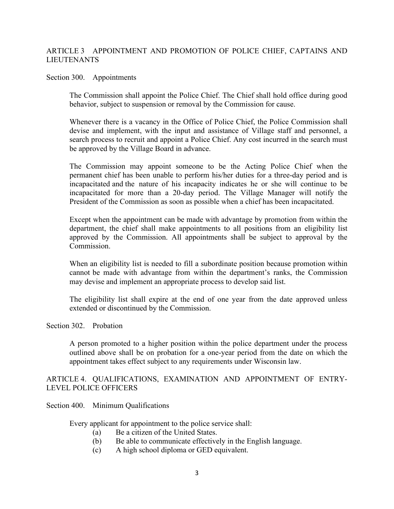## ARTICLE 3 APPOINTMENT AND PROMOTION OF POLICE CHIEF, CAPTAINS AND LIEUTENANTS

## Section 300. Appointments

The Commission shall appoint the Police Chief. The Chief shall hold office during good behavior, subject to suspension or removal by the Commission for cause.

Whenever there is a vacancy in the Office of Police Chief, the Police Commission shall devise and implement, with the input and assistance of Village staff and personnel, a search process to recruit and appoint a Police Chief. Any cost incurred in the search must be approved by the Village Board in advance.

The Commission may appoint someone to be the Acting Police Chief when the permanent chief has been unable to perform his/her duties for a three-day period and is incapacitated and the nature of his incapacity indicates he or she will continue to be incapacitated for more than a 20-day period. The Village Manager will notify the President of the Commission as soon as possible when a chief has been incapacitated.

Except when the appointment can be made with advantage by promotion from within the department, the chief shall make appointments to all positions from an eligibility list approved by the Commission. All appointments shall be subject to approval by the Commission.

When an eligibility list is needed to fill a subordinate position because promotion within cannot be made with advantage from within the department's ranks, the Commission may devise and implement an appropriate process to develop said list.

The eligibility list shall expire at the end of one year from the date approved unless extended or discontinued by the Commission.

#### Section 302. Probation

A person promoted to a higher position within the police department under the process outlined above shall be on probation for a one-year period from the date on which the appointment takes effect subject to any requirements under Wisconsin law.

### ARTICLE 4. QUALIFICATIONS, EXAMINATION AND APPOINTMENT OF ENTRY-LEVEL POLICE OFFICERS

Section 400. Minimum Qualifications

Every applicant for appointment to the police service shall:

- (a) Be a citizen of the United States.
- (b) Be able to communicate effectively in the English language.
- (c) A high school diploma or GED equivalent.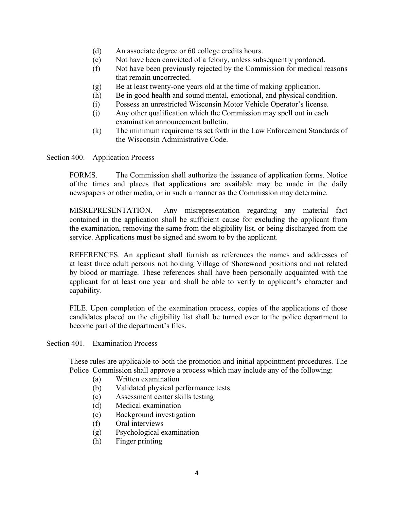- (d) An associate degree or 60 college credits hours.
- (e) Not have been convicted of a felony, unless subsequently pardoned.
- (f) Not have been previously rejected by the Commission for medical reasons that remain uncorrected.
- (g) Be at least twenty-one years old at the time of making application.
- (h) Be in good health and sound mental, emotional, and physical condition.
- (i) Possess an unrestricted Wisconsin Motor Vehicle Operator's license.
- (j) Any other qualification which the Commission may spell out in each examination announcement bulletin.
- (k) The minimum requirements set forth in the Law Enforcement Standards of the Wisconsin Administrative Code.

Section 400. Application Process

FORMS. The Commission shall authorize the issuance of application forms. Notice of the times and places that applications are available may be made in the daily newspapers or other media, or in such a manner as the Commission may determine.

MISREPRESENTATION. Any misrepresentation regarding any material fact contained in the application shall be sufficient cause for excluding the applicant from the examination, removing the same from the eligibility list, or being discharged from the service. Applications must be signed and sworn to by the applicant.

REFERENCES. An applicant shall furnish as references the names and addresses of at least three adult persons not holding Village of Shorewood positions and not related by blood or marriage. These references shall have been personally acquainted with the applicant for at least one year and shall be able to verify to applicant's character and capability.

FILE. Upon completion of the examination process, copies of the applications of those candidates placed on the eligibility list shall be turned over to the police department to become part of the department's files.

Section 401. Examination Process

These rules are applicable to both the promotion and initial appointment procedures. The Police Commission shall approve a process which may include any of the following:

- (a) Written examination
- (b) Validated physical performance tests
- (c) Assessment center skills testing
- (d) Medical examination
- (e) Background investigation
- (f) Oral interviews
- (g) Psychological examination
- (h) Finger printing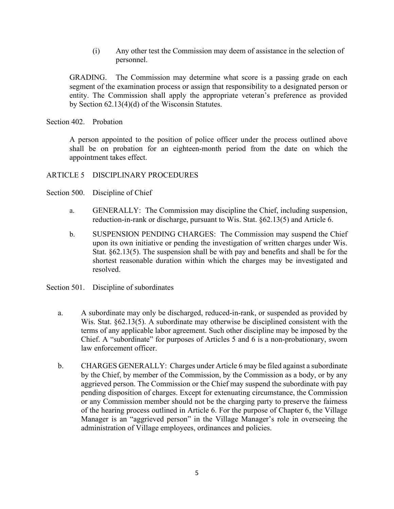(i) Any other test the Commission may deem of assistance in the selection of personnel.

GRADING. The Commission may determine what score is a passing grade on each segment of the examination process or assign that responsibility to a designated person or entity. The Commission shall apply the appropriate veteran's preference as provided by Section 62.13(4)(d) of the Wisconsin Statutes.

Section 402. Probation

A person appointed to the position of police officer under the process outlined above shall be on probation for an eighteen-month period from the date on which the appointment takes effect.

### ARTICLE 5 DISCIPLINARY PROCEDURES

- Section 500. Discipline of Chief
	- a. GENERALLY: The Commission may discipline the Chief, including suspension, reduction-in-rank or discharge, pursuant to Wis. Stat. §62.13(5) and Article 6.
	- b. SUSPENSION PENDING CHARGES: The Commission may suspend the Chief upon its own initiative or pending the investigation of written charges under Wis. Stat. §62.13(5). The suspension shall be with pay and benefits and shall be for the shortest reasonable duration within which the charges may be investigated and resolved.
- Section 501. Discipline of subordinates
	- a. A subordinate may only be discharged, reduced-in-rank, or suspended as provided by Wis. Stat. §62.13(5). A subordinate may otherwise be disciplined consistent with the terms of any applicable labor agreement. Such other discipline may be imposed by the Chief. A "subordinate" for purposes of Articles 5 and 6 is a non-probationary, sworn law enforcement officer.
	- b. CHARGES GENERALLY: Charges under Article 6 may be filed against a subordinate by the Chief, by member of the Commission, by the Commission as a body, or by any aggrieved person. The Commission or the Chief may suspend the subordinate with pay pending disposition of charges. Except for extenuating circumstance, the Commission or any Commission member should not be the charging party to preserve the fairness of the hearing process outlined in Article 6. For the purpose of Chapter 6, the Village Manager is an "aggrieved person" in the Village Manager's role in overseeing the administration of Village employees, ordinances and policies.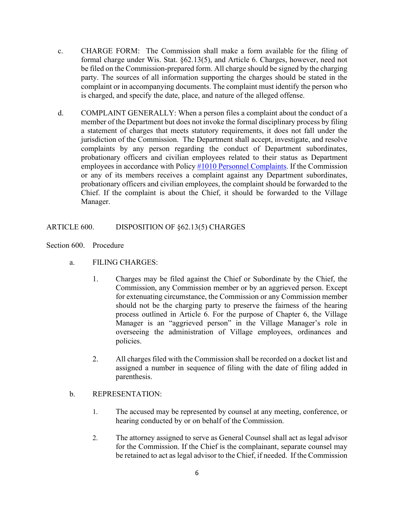- c. CHARGE FORM: The Commission shall make a form available for the filing of formal charge under Wis. Stat. §62.13(5), and Article 6. Charges, however, need not be filed on the Commission-prepared form. All charge should be signed by the charging party. The sources of all information supporting the charges should be stated in the complaint or in accompanying documents. The complaint must identify the person who is charged, and specify the date, place, and nature of the alleged offense.
- d. COMPLAINT GENERALLY: When a person files a complaint about the conduct of a member of the Department but does not invoke the formal disciplinary process by filing a statement of charges that meets statutory requirements, it does not fall under the jurisdiction of the Commission. The Department shall accept, investigate, and resolve complaints by any person regarding the conduct of Department subordinates, probationary officers and civilian employees related to their status as Department employees in accordance with Policy [#1010](http://www.villageofshorewood.org/DocumentCenter/View/9540) [Personnel Complaints.](http://www.villageofshorewood.org/DocumentCenter/View/9540) If the Commission or any of its members receives a complaint against any Department subordinates, probationary officers and civilian employees, the complaint should be forwarded to the Chief. If the complaint is about the Chief, it should be forwarded to the Village Manager.

## ARTICLE 600. DISPOSITION OF §62.13(5) CHARGES

- Section 600. Procedure
	- a. FILING CHARGES:
		- 1. Charges may be filed against the Chief or Subordinate by the Chief, the Commission, any Commission member or by an aggrieved person. Except for extenuating circumstance, the Commission or any Commission member should not be the charging party to preserve the fairness of the hearing process outlined in Article 6. For the purpose of Chapter 6, the Village Manager is an "aggrieved person" in the Village Manager's role in overseeing the administration of Village employees, ordinances and policies.
		- 2. All charges filed with the Commission shall be recorded on a docket list and assigned a number in sequence of filing with the date of filing added in parenthesis.

## b. REPRESENTATION:

- 1. The accused may be represented by counsel at any meeting, conference, or hearing conducted by or on behalf of the Commission.
- 2. The attorney assigned to serve as General Counsel shall act as legal advisor for the Commission. If the Chief is the complainant, separate counsel may be retained to act as legal advisor to the Chief, if needed. If the Commission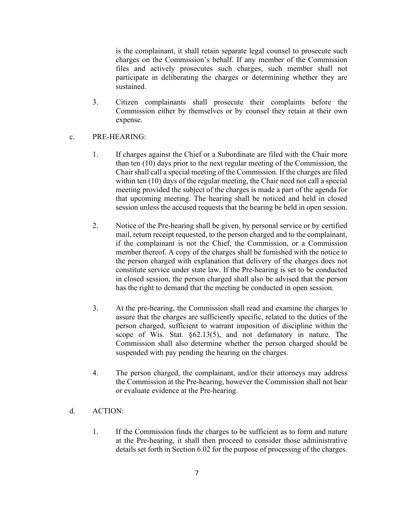is the complainant, it shall retain separate legal counsel to prosecute such charges on the Commission's behalf. If any member of the Commission files and actively prosecutes such charges, such member shall not participate in deliberating the charges or determining whether they are sustained.

3. Citizen complainants shall prosecute their complaints before the Commission either by themselves or by counsel they retain at their own expense.

## c. PRE-HEARING:

- 1. If charges against the Chief or a Subordinate are filed with the Chair more than ten (10) days prior to the next regular meeting of the Commission, the Chair shall call a special meeting of the Commission. If the charges are filed within ten (10) days of the regular meeting, the Chair need not call a special meeting provided the subject of the charges is made a part of the agenda for that upcoming meeting. The hearing shall be noticed and held in closed session unless the accused requests that the hearing be held in open session.
- 2. Notice of the Pre-hearing shall be given, by personal service or by certified mail, return receipt requested, to the person charged and to the complainant, if the complainant is not the Chief, the Commission, or a Commission member thereof. A copy of the charges shall be furnished with the notice to the person charged with explanation that delivery of the charges does not constitute service under state law. If the Pre-hearing is set to be conducted in closed session, the person charged shall also be advised that the person has the right to demand that the meeting be conducted in open session.
- 3. At the pre-hearing, the Commission shall read and examine the charges to assure that the charges are sufficiently specific, related to the duties of the person charged, sufficient to warrant imposition of discipline within the scope of Wis. Stat. §62.13(5), and not defamatory in nature. The Commission shall also determine whether the person charged should be suspended with pay pending the hearing on the charges.
- 4. The person charged, the complainant, and/or their attorneys may address the Commission at the Pre-hearing, however the Commission shall not hear or evaluate evidence at the Pre-hearing.

## d. ACTION:

1. If the Commission finds the charges to be sufficient as to form and nature at the Pre-hearing, it shall then proceed to consider those administrative details set forth in Section 6.02 for the purpose of processing of the charges.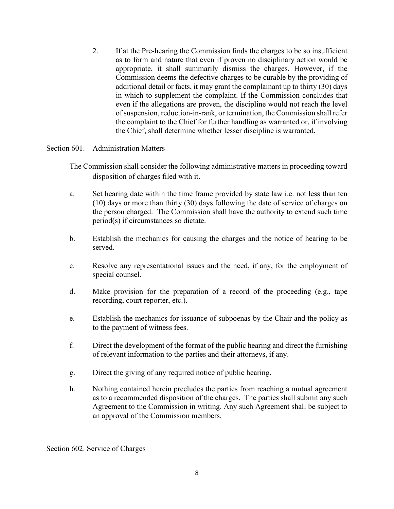2. If at the Pre-hearing the Commission finds the charges to be so insufficient as to form and nature that even if proven no disciplinary action would be appropriate, it shall summarily dismiss the charges. However, if the Commission deems the defective charges to be curable by the providing of additional detail or facts, it may grant the complainant up to thirty (30) days in which to supplement the complaint. If the Commission concludes that even if the allegations are proven, the discipline would not reach the level of suspension, reduction-in-rank, or termination, the Commission shall refer the complaint to the Chief for further handling as warranted or, if involving the Chief, shall determine whether lesser discipline is warranted.

### Section 601. Administration Matters

- The Commission shall consider the following administrative matters in proceeding toward disposition of charges filed with it.
- a. Set hearing date within the time frame provided by state law i.e. not less than ten (10) days or more than thirty (30) days following the date of service of charges on the person charged. The Commission shall have the authority to extend such time period(s) if circumstances so dictate.
- b. Establish the mechanics for causing the charges and the notice of hearing to be served.
- c. Resolve any representational issues and the need, if any, for the employment of special counsel.
- d. Make provision for the preparation of a record of the proceeding (e.g., tape recording, court reporter, etc.).
- e. Establish the mechanics for issuance of subpoenas by the Chair and the policy as to the payment of witness fees.
- f. Direct the development of the format of the public hearing and direct the furnishing of relevant information to the parties and their attorneys, if any.
- g. Direct the giving of any required notice of public hearing.
- h. Nothing contained herein precludes the parties from reaching a mutual agreement as to a recommended disposition of the charges. The parties shall submit any such Agreement to the Commission in writing. Any such Agreement shall be subject to an approval of the Commission members.

Section 602. Service of Charges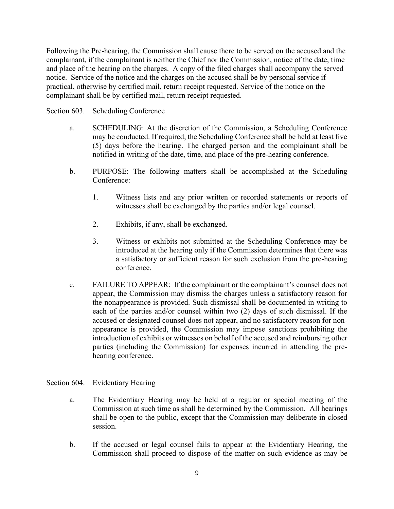Following the Pre-hearing, the Commission shall cause there to be served on the accused and the complainant, if the complainant is neither the Chief nor the Commission, notice of the date, time and place of the hearing on the charges. A copy of the filed charges shall accompany the served notice. Service of the notice and the charges on the accused shall be by personal service if practical, otherwise by certified mail, return receipt requested. Service of the notice on the complainant shall be by certified mail, return receipt requested.

Section 603. Scheduling Conference

- a. SCHEDULING: At the discretion of the Commission, a Scheduling Conference may be conducted. If required, the Scheduling Conference shall be held at least five (5) days before the hearing. The charged person and the complainant shall be notified in writing of the date, time, and place of the pre-hearing conference.
- b. PURPOSE: The following matters shall be accomplished at the Scheduling Conference:
	- 1. Witness lists and any prior written or recorded statements or reports of witnesses shall be exchanged by the parties and/or legal counsel.
	- 2. Exhibits, if any, shall be exchanged.
	- 3. Witness or exhibits not submitted at the Scheduling Conference may be introduced at the hearing only if the Commission determines that there was a satisfactory or sufficient reason for such exclusion from the pre-hearing conference.
- c. FAILURE TO APPEAR: If the complainant or the complainant's counsel does not appear, the Commission may dismiss the charges unless a satisfactory reason for the nonappearance is provided. Such dismissal shall be documented in writing to each of the parties and/or counsel within two (2) days of such dismissal. If the accused or designated counsel does not appear, and no satisfactory reason for nonappearance is provided, the Commission may impose sanctions prohibiting the introduction of exhibits or witnesses on behalf of the accused and reimbursing other parties (including the Commission) for expenses incurred in attending the prehearing conference.

# Section 604. Evidentiary Hearing

- a. The Evidentiary Hearing may be held at a regular or special meeting of the Commission at such time as shall be determined by the Commission. All hearings shall be open to the public, except that the Commission may deliberate in closed session.
- b. If the accused or legal counsel fails to appear at the Evidentiary Hearing, the Commission shall proceed to dispose of the matter on such evidence as may be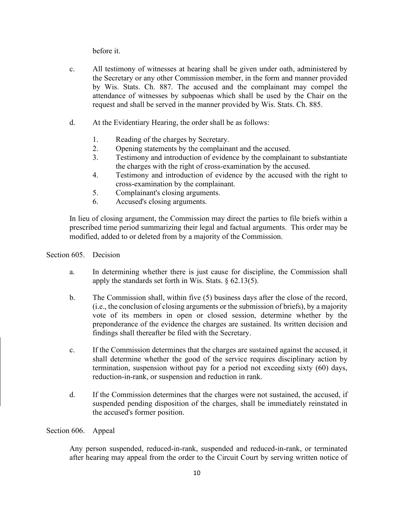before it.

- c. All testimony of witnesses at hearing shall be given under oath, administered by the Secretary or any other Commission member, in the form and manner provided by Wis. Stats. Ch. 887. The accused and the complainant may compel the attendance of witnesses by subpoenas which shall be used by the Chair on the request and shall be served in the manner provided by Wis. Stats. Ch. 885.
- d. At the Evidentiary Hearing, the order shall be as follows:
	- 1. Reading of the charges by Secretary.
	- 2. Opening statements by the complainant and the accused.
	- 3. Testimony and introduction of evidence by the complainant to substantiate the charges with the right of cross-examination by the accused.
	- 4. Testimony and introduction of evidence by the accused with the right to cross-examination by the complainant.
	- 5. Complainant's closing arguments.
	- 6. Accused's closing arguments.

In lieu of closing argument, the Commission may direct the parties to file briefs within a prescribed time period summarizing their legal and factual arguments. This order may be modified, added to or deleted from by a majority of the Commission.

### Section 605. Decision

- a. In determining whether there is just cause for discipline, the Commission shall apply the standards set forth in Wis. Stats.  $\S$  62.13(5).
- b. The Commission shall, within five (5) business days after the close of the record, (i.e., the conclusion of closing arguments or the submission of briefs), by a majority vote of its members in open or closed session, determine whether by the preponderance of the evidence the charges are sustained. Its written decision and findings shall thereafter be filed with the Secretary.
- c. If the Commission determines that the charges are sustained against the accused, it shall determine whether the good of the service requires disciplinary action by termination, suspension without pay for a period not exceeding sixty (60) days, reduction-in-rank, or suspension and reduction in rank.
- d. If the Commission determines that the charges were not sustained, the accused, if suspended pending disposition of the charges, shall be immediately reinstated in the accused's former position.

#### Section 606. Appeal

Any person suspended, reduced-in-rank, suspended and reduced-in-rank, or terminated after hearing may appeal from the order to the Circuit Court by serving written notice of